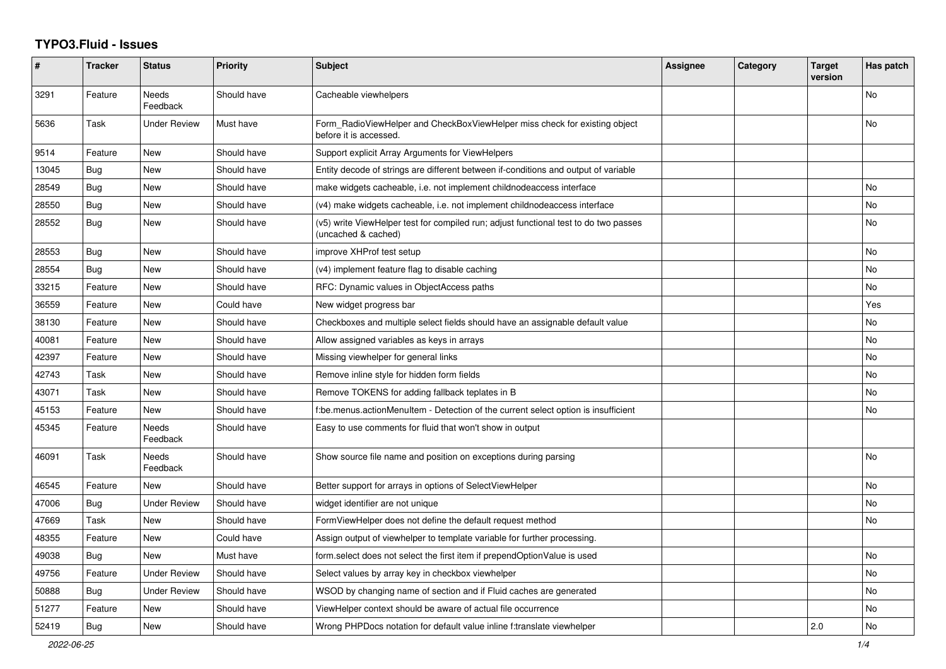## **TYPO3.Fluid - Issues**

| #     | Tracker    | <b>Status</b>            | <b>Priority</b> | Subject                                                                                                     | <b>Assignee</b> | Category | <b>Target</b><br>version | Has patch |
|-------|------------|--------------------------|-----------------|-------------------------------------------------------------------------------------------------------------|-----------------|----------|--------------------------|-----------|
| 3291  | Feature    | <b>Needs</b><br>Feedback | Should have     | Cacheable viewhelpers                                                                                       |                 |          |                          | <b>No</b> |
| 5636  | Task       | <b>Under Review</b>      | Must have       | Form RadioViewHelper and CheckBoxViewHelper miss check for existing object<br>before it is accessed.        |                 |          |                          | <b>No</b> |
| 9514  | Feature    | <b>New</b>               | Should have     | Support explicit Array Arguments for ViewHelpers                                                            |                 |          |                          |           |
| 13045 | Bug        | New                      | Should have     | Entity decode of strings are different between if-conditions and output of variable                         |                 |          |                          |           |
| 28549 | <b>Bug</b> | New                      | Should have     | make widgets cacheable, i.e. not implement childnodeaccess interface                                        |                 |          |                          | No        |
| 28550 | Bug        | New                      | Should have     | (v4) make widgets cacheable, i.e. not implement childnodeaccess interface                                   |                 |          |                          | No        |
| 28552 | Bug        | <b>New</b>               | Should have     | (v5) write ViewHelper test for compiled run; adjust functional test to do two passes<br>(uncached & cached) |                 |          |                          | No        |
| 28553 | Bug        | <b>New</b>               | Should have     | improve XHProf test setup                                                                                   |                 |          |                          | <b>No</b> |
| 28554 | Bug        | <b>New</b>               | Should have     | (v4) implement feature flag to disable caching                                                              |                 |          |                          | <b>No</b> |
| 33215 | Feature    | <b>New</b>               | Should have     | RFC: Dynamic values in ObjectAccess paths                                                                   |                 |          |                          | <b>No</b> |
| 36559 | Feature    | New                      | Could have      | New widget progress bar                                                                                     |                 |          |                          | Yes       |
| 38130 | Feature    | New                      | Should have     | Checkboxes and multiple select fields should have an assignable default value                               |                 |          |                          | No        |
| 40081 | Feature    | New                      | Should have     | Allow assigned variables as keys in arrays                                                                  |                 |          |                          | No        |
| 42397 | Feature    | New                      | Should have     | Missing viewhelper for general links                                                                        |                 |          |                          | No        |
| 42743 | Task       | <b>New</b>               | Should have     | Remove inline style for hidden form fields                                                                  |                 |          |                          | <b>No</b> |
| 43071 | Task       | New                      | Should have     | Remove TOKENS for adding fallback teplates in B                                                             |                 |          |                          | No        |
| 45153 | Feature    | New                      | Should have     | f:be.menus.actionMenuItem - Detection of the current select option is insufficient                          |                 |          |                          | No        |
| 45345 | Feature    | Needs<br>Feedback        | Should have     | Easy to use comments for fluid that won't show in output                                                    |                 |          |                          |           |
| 46091 | Task       | Needs<br>Feedback        | Should have     | Show source file name and position on exceptions during parsing                                             |                 |          |                          | No        |
| 46545 | Feature    | <b>New</b>               | Should have     | Better support for arrays in options of SelectViewHelper                                                    |                 |          |                          | <b>No</b> |
| 47006 | Bug        | <b>Under Review</b>      | Should have     | widget identifier are not unique                                                                            |                 |          |                          | <b>No</b> |
| 47669 | Task       | New                      | Should have     | FormViewHelper does not define the default request method                                                   |                 |          |                          | No        |
| 48355 | Feature    | New                      | Could have      | Assign output of viewhelper to template variable for further processing.                                    |                 |          |                          |           |
| 49038 | Bug        | <b>New</b>               | Must have       | form select does not select the first item if prependOptionValue is used                                    |                 |          |                          | <b>No</b> |
| 49756 | Feature    | <b>Under Review</b>      | Should have     | Select values by array key in checkbox viewhelper                                                           |                 |          |                          | <b>No</b> |
| 50888 | Bug        | <b>Under Review</b>      | Should have     | WSOD by changing name of section and if Fluid caches are generated                                          |                 |          |                          | <b>No</b> |
| 51277 | Feature    | New                      | Should have     | ViewHelper context should be aware of actual file occurrence                                                |                 |          |                          | No        |
| 52419 | Bug        | New                      | Should have     | Wrong PHPDocs notation for default value inline f:translate viewhelper                                      |                 |          | 2.0                      | No        |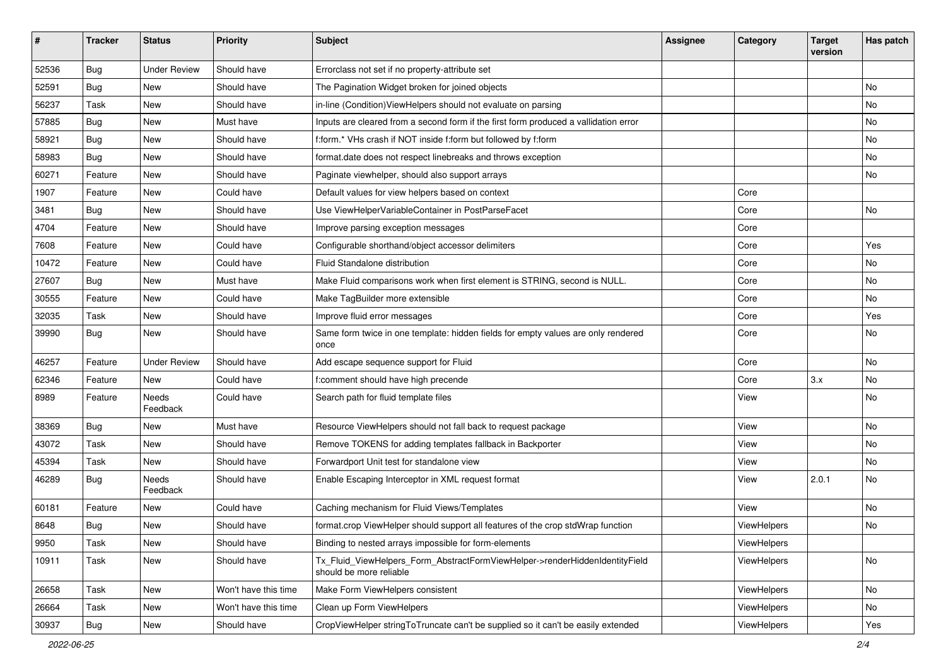| #     | <b>Tracker</b> | <b>Status</b>       | <b>Priority</b>      | Subject                                                                                                | <b>Assignee</b> | Category    | <b>Target</b><br>version | Has patch |
|-------|----------------|---------------------|----------------------|--------------------------------------------------------------------------------------------------------|-----------------|-------------|--------------------------|-----------|
| 52536 | Bug            | <b>Under Review</b> | Should have          | Errorclass not set if no property-attribute set                                                        |                 |             |                          |           |
| 52591 | Bug            | New                 | Should have          | The Pagination Widget broken for joined objects                                                        |                 |             |                          | No        |
| 56237 | Task           | New                 | Should have          | in-line (Condition) View Helpers should not evaluate on parsing                                        |                 |             |                          | No        |
| 57885 | Bug            | New                 | Must have            | Inputs are cleared from a second form if the first form produced a vallidation error                   |                 |             |                          | <b>No</b> |
| 58921 | Bug            | New                 | Should have          | f:form.* VHs crash if NOT inside f:form but followed by f:form                                         |                 |             |                          | No        |
| 58983 | Bug            | <b>New</b>          | Should have          | format.date does not respect linebreaks and throws exception                                           |                 |             |                          | No        |
| 60271 | Feature        | New                 | Should have          | Paginate viewhelper, should also support arrays                                                        |                 |             |                          | No        |
| 1907  | Feature        | New                 | Could have           | Default values for view helpers based on context                                                       |                 | Core        |                          |           |
| 3481  | Bug            | New                 | Should have          | Use ViewHelperVariableContainer in PostParseFacet                                                      |                 | Core        |                          | No        |
| 4704  | Feature        | New                 | Should have          | Improve parsing exception messages                                                                     |                 | Core        |                          |           |
| 7608  | Feature        | New                 | Could have           | Configurable shorthand/object accessor delimiters                                                      |                 | Core        |                          | Yes       |
| 10472 | Feature        | New                 | Could have           | Fluid Standalone distribution                                                                          |                 | Core        |                          | No        |
| 27607 | Bug            | New                 | Must have            | Make Fluid comparisons work when first element is STRING, second is NULL.                              |                 | Core        |                          | No        |
| 30555 | Feature        | New                 | Could have           | Make TagBuilder more extensible                                                                        |                 | Core        |                          | No        |
| 32035 | Task           | New                 | Should have          | Improve fluid error messages                                                                           |                 | Core        |                          | Yes       |
| 39990 | Bug            | New                 | Should have          | Same form twice in one template: hidden fields for empty values are only rendered<br>once              |                 | Core        |                          | No        |
| 46257 | Feature        | <b>Under Review</b> | Should have          | Add escape sequence support for Fluid                                                                  |                 | Core        |                          | No        |
| 62346 | Feature        | <b>New</b>          | Could have           | f:comment should have high precende                                                                    |                 | Core        | 3.x                      | No        |
| 8989  | Feature        | Needs<br>Feedback   | Could have           | Search path for fluid template files                                                                   |                 | View        |                          | No        |
| 38369 | Bug            | New                 | Must have            | Resource ViewHelpers should not fall back to request package                                           |                 | View        |                          | No        |
| 43072 | Task           | New                 | Should have          | Remove TOKENS for adding templates fallback in Backporter                                              |                 | View        |                          | No        |
| 45394 | Task           | New                 | Should have          | Forwardport Unit test for standalone view                                                              |                 | View        |                          | No        |
| 46289 | Bug            | Needs<br>Feedback   | Should have          | Enable Escaping Interceptor in XML request format                                                      |                 | View        | 2.0.1                    | <b>No</b> |
| 60181 | Feature        | New                 | Could have           | Caching mechanism for Fluid Views/Templates                                                            |                 | View        |                          | <b>No</b> |
| 8648  | <b>Bug</b>     | New                 | Should have          | format.crop ViewHelper should support all features of the crop stdWrap function                        |                 | ViewHelpers |                          | No        |
| 9950  | Task           | New                 | Should have          | Binding to nested arrays impossible for form-elements                                                  |                 | ViewHelpers |                          |           |
| 10911 | Task           | New                 | Should have          | Tx_Fluid_ViewHelpers_Form_AbstractFormViewHelper->renderHiddenIdentityField<br>should be more reliable |                 | ViewHelpers |                          | No        |
| 26658 | Task           | New                 | Won't have this time | Make Form ViewHelpers consistent                                                                       |                 | ViewHelpers |                          | No        |
| 26664 | Task           | New                 | Won't have this time | Clean up Form ViewHelpers                                                                              |                 | ViewHelpers |                          | No        |
| 30937 | <b>Bug</b>     | New                 | Should have          | CropViewHelper stringToTruncate can't be supplied so it can't be easily extended                       |                 | ViewHelpers |                          | Yes       |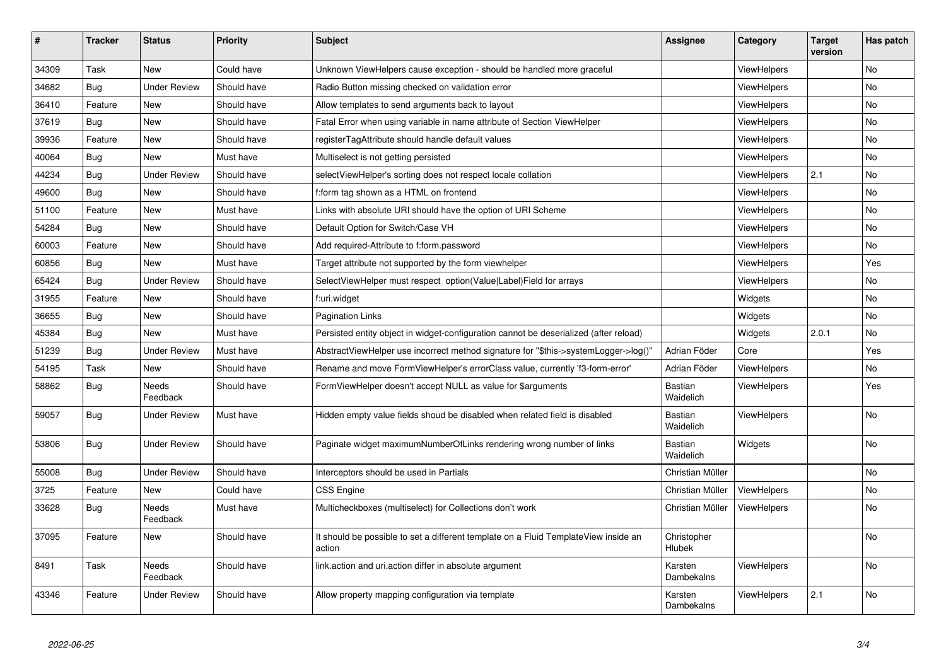| #     | <b>Tracker</b> | <b>Status</b>            | <b>Priority</b> | <b>Subject</b>                                                                                | <b>Assignee</b>             | Category           | <b>Target</b><br>version | Has patch |
|-------|----------------|--------------------------|-----------------|-----------------------------------------------------------------------------------------------|-----------------------------|--------------------|--------------------------|-----------|
| 34309 | Task           | New                      | Could have      | Unknown ViewHelpers cause exception - should be handled more graceful                         |                             | <b>ViewHelpers</b> |                          | <b>No</b> |
| 34682 | Bug            | <b>Under Review</b>      | Should have     | Radio Button missing checked on validation error                                              |                             | <b>ViewHelpers</b> |                          | <b>No</b> |
| 36410 | Feature        | New                      | Should have     | Allow templates to send arguments back to layout                                              |                             | ViewHelpers        |                          | No        |
| 37619 | <b>Bug</b>     | New                      | Should have     | Fatal Error when using variable in name attribute of Section ViewHelper                       |                             | <b>ViewHelpers</b> |                          | No        |
| 39936 | Feature        | New                      | Should have     | registerTagAttribute should handle default values                                             |                             | <b>ViewHelpers</b> |                          | No        |
| 40064 | <b>Bug</b>     | New                      | Must have       | Multiselect is not getting persisted                                                          |                             | <b>ViewHelpers</b> |                          | No        |
| 44234 | Bug            | <b>Under Review</b>      | Should have     | selectViewHelper's sorting does not respect locale collation                                  |                             | <b>ViewHelpers</b> | 2.1                      | No        |
| 49600 | Bug            | New                      | Should have     | f:form tag shown as a HTML on frontend                                                        |                             | ViewHelpers        |                          | No        |
| 51100 | Feature        | New                      | Must have       | Links with absolute URI should have the option of URI Scheme                                  |                             | ViewHelpers        |                          | <b>No</b> |
| 54284 | Bug            | <b>New</b>               | Should have     | Default Option for Switch/Case VH                                                             |                             | <b>ViewHelpers</b> |                          | No        |
| 60003 | Feature        | <b>New</b>               | Should have     | Add required-Attribute to f:form.password                                                     |                             | ViewHelpers        |                          | <b>No</b> |
| 60856 | Bug            | <b>New</b>               | Must have       | Target attribute not supported by the form viewhelper                                         |                             | <b>ViewHelpers</b> |                          | Yes       |
| 65424 | Bug            | Under Review             | Should have     | SelectViewHelper must respect option(Value Label)Field for arrays                             |                             | <b>ViewHelpers</b> |                          | No        |
| 31955 | Feature        | New                      | Should have     | f:uri.widget                                                                                  |                             | Widgets            |                          | <b>No</b> |
| 36655 | <b>Bug</b>     | New                      | Should have     | <b>Pagination Links</b>                                                                       |                             | Widgets            |                          | <b>No</b> |
| 45384 | <b>Bug</b>     | <b>New</b>               | Must have       | Persisted entity object in widget-configuration cannot be deserialized (after reload)         |                             | Widgets            | 2.0.1                    | <b>No</b> |
| 51239 | Bug            | Under Review             | Must have       | AbstractViewHelper use incorrect method signature for "\$this->systemLogger->log()"           | Adrian Föder                | Core               |                          | Yes       |
| 54195 | Task           | New                      | Should have     | Rename and move FormViewHelper's errorClass value, currently 'f3-form-error'                  | Adrian Föder                | <b>ViewHelpers</b> |                          | No.       |
| 58862 | Bug            | <b>Needs</b><br>Feedback | Should have     | FormViewHelper doesn't accept NULL as value for \$arguments                                   | Bastian<br>Waidelich        | ViewHelpers        |                          | Yes       |
| 59057 | <b>Bug</b>     | <b>Under Review</b>      | Must have       | Hidden empty value fields shoud be disabled when related field is disabled                    | Bastian<br>Waidelich        | <b>ViewHelpers</b> |                          | No        |
| 53806 | <b>Bug</b>     | <b>Under Review</b>      | Should have     | Paginate widget maximumNumberOfLinks rendering wrong number of links                          | <b>Bastian</b><br>Waidelich | Widgets            |                          | <b>No</b> |
| 55008 | <b>Bug</b>     | <b>Under Review</b>      | Should have     | Interceptors should be used in Partials                                                       | Christian Müller            |                    |                          | No        |
| 3725  | Feature        | New                      | Could have      | CSS Engine                                                                                    | Christian Müller            | <b>ViewHelpers</b> |                          | No        |
| 33628 | Bug            | Needs<br>Feedback        | Must have       | Multicheckboxes (multiselect) for Collections don't work                                      | Christian Müller            | <b>ViewHelpers</b> |                          | No        |
| 37095 | Feature        | New                      | Should have     | It should be possible to set a different template on a Fluid TemplateView inside an<br>action | Christopher<br>Hlubek       |                    |                          | <b>No</b> |
| 8491  | Task           | Needs<br>Feedback        | Should have     | link.action and uri.action differ in absolute argument                                        | Karsten<br>Dambekalns       | <b>ViewHelpers</b> |                          | <b>No</b> |
| 43346 | Feature        | <b>Under Review</b>      | Should have     | Allow property mapping configuration via template                                             | Karsten<br>Dambekalns       | <b>ViewHelpers</b> | 2.1                      | <b>No</b> |